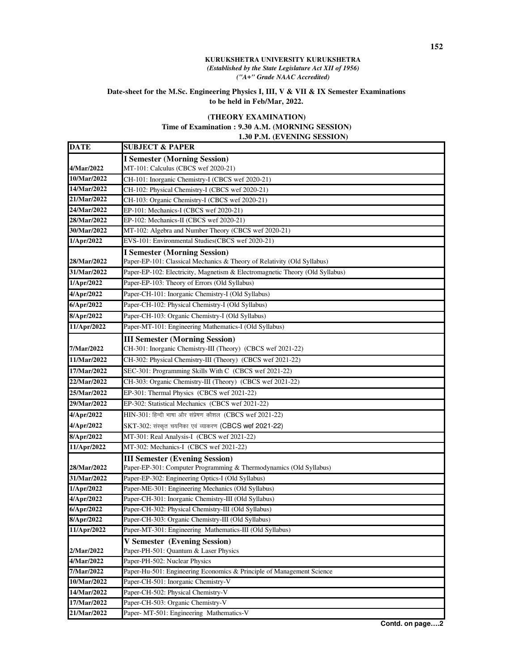## **KURUKSHETRA UNIVERSITY KURUKSHETRA**  *(Established by the State Legislature Act XII of 1956) ("A+" Grade NAAC Accredited)*

## **Date-sheet for the M.Sc. Engineering Physics I, III, V & VII & IX Semester Examinations to be held in Feb/Mar, 2022.**

## **(THEORY EXAMINATION)**

## **Time of Examination : 9.30 A.M. (MORNING SESSION)**

 **1.30 P.M. (EVENING SESSION)**

| <b>DATE</b>        | <b>SUBJECT &amp; PAPER</b>                                                   |
|--------------------|------------------------------------------------------------------------------|
|                    | <b>I Semester (Morning Session)</b>                                          |
| 4/Mar/2022         | MT-101: Calculus (CBCS wef 2020-21)                                          |
| 10/Mar/2022        | CH-101: Inorganic Chemistry-I (CBCS wef 2020-21)                             |
| 14/Mar/2022        | CH-102: Physical Chemistry-I (CBCS wef 2020-21)                              |
| 21/Mar/2022        | CH-103: Organic Chemistry-I (CBCS wef 2020-21)                               |
| 24/Mar/2022        | EP-101: Mechanics-I (CBCS wef 2020-21)                                       |
| 28/Mar/2022        | EP-102: Mechanics-II (CBCS wef 2020-21)                                      |
| 30/Mar/2022        | MT-102: Algebra and Number Theory (CBCS wef 2020-21)                         |
| 1/Apr/2022         | EVS-101: Environmental Studies(CBCS wef 2020-21)                             |
|                    | <b>I Semester (Morning Session)</b>                                          |
| 28/Mar/2022        | Paper-EP-101: Classical Mechanics & Theory of Relativity (Old Syllabus)      |
| 31/Mar/2022        | Paper-EP-102: Electricity, Magnetism & Electromagnetic Theory (Old Syllabus) |
| 1/Apr/2022         | Paper-EP-103: Theory of Errors (Old Syllabus)                                |
| 4/Apr/2022         | Paper-CH-101: Inorganic Chemistry-I (Old Syllabus)                           |
| 6/Apr/2022         | Paper-CH-102: Physical Chemistry-I (Old Syllabus)                            |
| 8/Apr/2022         | Paper-CH-103: Organic Chemistry-I (Old Syllabus)                             |
| 11/Apr/2022        | Paper-MT-101: Engineering Mathematics-I (Old Syllabus)                       |
|                    | <b>III Semester (Morning Session)</b>                                        |
| 7/Mar/2022         | CH-301: Inorganic Chemistry-III (Theory) (CBCS wef 2021-22)                  |
| 11/Mar/2022        | CH-302: Physical Chemistry-III (Theory) (CBCS wef 2021-22)                   |
| 17/Mar/2022        | SEC-301: Programming Skills With C (CBCS wef 2021-22)                        |
| 22/Mar/2022        | CH-303: Organic Chemistry-III (Theory) (CBCS wef 2021-22)                    |
| 25/Mar/2022        | EP-301: Thermal Physics (CBCS wef 2021-22)                                   |
| 29/Mar/2022        | EP-302: Statistical Mechanics (CBCS wef 2021-22)                             |
| 4/Apr/2022         | HIN-301: हिन्दी भाषा और संप्रेषण कौशल (CBCS wef 2021-22)                     |
| 4/Apr/2022         | $\text{SKT-302:}$ संस्कृत चयनिका एवं व्याकरण (CBCS wef 2021-22)              |
| 8/Apr/2022         | MT-301: Real Analysis-I (CBCS wef 2021-22)                                   |
| 11/Apr/2022        | MT-302: Mechanics-I (CBCS wef 2021-22)                                       |
|                    | <b>III Semester (Evening Session)</b>                                        |
| <b>28/Mar/2022</b> | Paper-EP-301: Computer Programming & Thermodynamics (Old Syllabus)           |
| 31/Mar/2022        | Paper-EP-302: Engineering Optics-I (Old Syllabus)                            |
| 1/Apr/2022         | Paper-ME-301: Engineering Mechanics (Old Syllabus)                           |
| 4/Apr/2022         | Paper-CH-301: Inorganic Chemistry-III (Old Syllabus)                         |
| 6/Apr/2022         | Paper-CH-302: Physical Chemistry-III (Old Syllabus)                          |
| 8/Apr/2022         | Paper-CH-303: Organic Chemistry-III (Old Syllabus)                           |
| 11/Apr/2022        | Paper-MT-301: Engineering Mathematics-III (Old Syllabus)                     |
|                    | <b>V Semester (Evening Session)</b>                                          |
| 2/Mar/2022         | Paper-PH-501: Quantum & Laser Physics                                        |
| 4/Mar/2022         | Paper-PH-502: Nuclear Physics                                                |
| 7/Mar/2022         | Paper-Hu-501: Engineering Economics & Principle of Management Science        |
| 10/Mar/2022        | Paper-CH-501: Inorganic Chemistry-V                                          |
| 14/Mar/2022        | Paper-CH-502: Physical Chemistry-V                                           |
| 17/Mar/2022        | Paper-CH-503: Organic Chemistry-V                                            |
| 21/Mar/2022        | Paper- MT-501: Engineering Mathematics-V                                     |